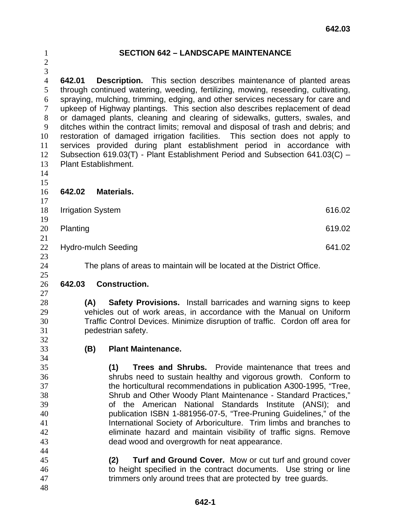## **SECTION 642 – LANDSCAPE MAINTENANCE**

 **642.01 Description.** This section describes maintenance of planted areas through continued watering, weeding, fertilizing, mowing, reseeding, cultivating, spraying, mulching, trimming, edging, and other services necessary for care and upkeep of Highway plantings. This section also describes replacement of dead or damaged plants, cleaning and clearing of sidewalks, gutters, swales, and ditches within the contract limits; removal and disposal of trash and debris; and restoration of damaged irrigation facilities. This section does not apply to services provided during plant establishment period in accordance with Subsection 619.03(T) - Plant Establishment Period and Subsection 641.03(C) – Plant Establishment.

 

## **642.02 Materials.**

- 18 Irrigation System 616.02 Planting 619.02 22 Hydro-mulch Seeding 641.02
- 

The plans of areas to maintain will be located at the District Office.

## **642.03 Construction.**

**(A) Safety Provisions.** Install barricades and warning signs to keep vehicles out of work areas, in accordance with the Manual on Uniform Traffic Control Devices. Minimize disruption of traffic. Cordon off area for pedestrian safety.

**(B) Plant Maintenance.** 

**(1) Trees and Shrubs.** Provide maintenance that trees and shrubs need to sustain healthy and vigorous growth. Conform to the horticultural recommendations in publication A300-1995, "Tree, Shrub and Other Woody Plant Maintenance - Standard Practices," of the American National Standards Institute (ANSI); and publication ISBN 1-881956-07-5, "Tree-Pruning Guidelines," of the International Society of Arboriculture. Trim limbs and branches to eliminate hazard and maintain visibility of traffic signs. Remove dead wood and overgrowth for neat appearance.

- **(2) Turf and Ground Cover.** Mow or cut turf and ground cover to height specified in the contract documents. Use string or line trimmers only around trees that are protected by tree guards.
-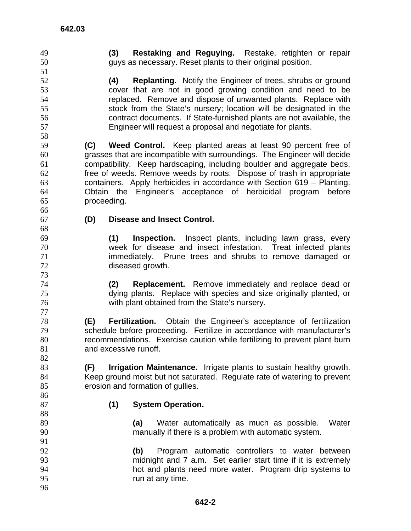**(4) Replanting.** Notify the Engineer of trees, shrubs or ground cover that are not in good growing condition and need to be replaced. Remove and dispose of unwanted plants. Replace with stock from the State's nursery; location will be designated in the contract documents. If State-furnished plants are not available, the Engineer will request a proposal and negotiate for plants. **(C) Weed Control.** Keep planted areas at least 90 percent free of grasses that are incompatible with surroundings. The Engineer will decide compatibility. Keep hardscaping, including boulder and aggregate beds, free of weeds. Remove weeds by roots. Dispose of trash in appropriate containers. Apply herbicides in accordance with Section 619 – Planting. Obtain the Engineer's acceptance of herbicidal program before proceeding. **(D) Disease and Insect Control. (1) Inspection.** Inspect plants, including lawn grass, every week for disease and insect infestation. Treat infected plants immediately. Prune trees and shrubs to remove damaged or diseased growth. **(2) Replacement.** Remove immediately and replace dead or dying plants. Replace with species and size originally planted, or with plant obtained from the State's nursery. **(E) Fertilization.** Obtain the Engineer's acceptance of fertilization schedule before proceeding. Fertilize in accordance with manufacturer's recommendations. Exercise caution while fertilizing to prevent plant burn 81 and excessive runoff. **(F) Irrigation Maintenance.** Irrigate plants to sustain healthy growth. Keep ground moist but not saturated. Regulate rate of watering to prevent 85 erosion and formation of gullies.

**(3) Restaking and Reguying.** Restake, retighten or repair

guys as necessary. Reset plants to their original position.

- **(1) System Operation.**
- **(a)** Water automatically as much as possible. Water manually if there is a problem with automatic system.
- **(b)** Program automatic controllers to water between midnight and 7 a.m. Set earlier start time if it is extremely hot and plants need more water. Program drip systems to run at any time.
-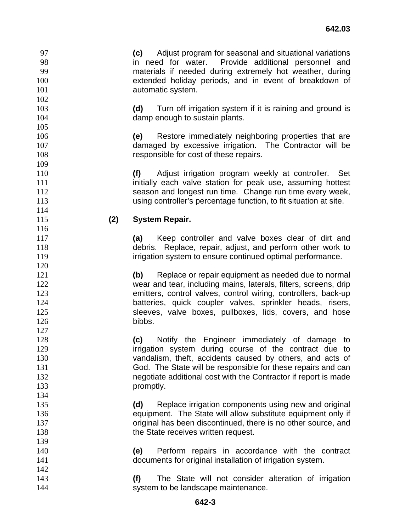in need for water. Provide additional personnel and materials if needed during extremely hot weather, during extended holiday periods, and in event of breakdown of 101 automatic system. **(d)** Turn off irrigation system if it is raining and ground is 104 damp enough to sustain plants. **(e)** Restore immediately neighboring properties that are damaged by excessive irrigation. The Contractor will be **responsible for cost of these repairs. (f)** Adjust irrigation program weekly at controller. Set **initially each valve station for peak use, assuming hottest** season and longest run time. Change run time every week, using controller's percentage function, to fit situation at site. **(2) System Repair. (a)** Keep controller and valve boxes clear of dirt and debris. Replace, repair, adjust, and perform other work to **irrigation system to ensure continued optimal performance. (b)** Replace or repair equipment as needed due to normal 122 wear and tear, including mains, laterals, filters, screens, drip emitters, control valves, control wiring, controllers, back-up batteries, quick coupler valves, sprinkler heads, risers, **Sleeves, valve boxes, pullboxes, lids, covers, and hose** 126 bibbs. **(c)** Notify the Engineer immediately of damage to **irrigation system during course of the contract due to** vandalism, theft, accidents caused by others, and acts of God. The State will be responsible for these repairs and can negotiate additional cost with the Contractor if report is made promptly. **(d)** Replace irrigation components using new and original equipment. The State will allow substitute equipment only if original has been discontinued, there is no other source, and **the State receives written request. (e)** Perform repairs in accordance with the contract documents for original installation of irrigation system. **(f)** The State will not consider alteration of irrigation 144 system to be landscape maintenance.

**(c)** Adjust program for seasonal and situational variations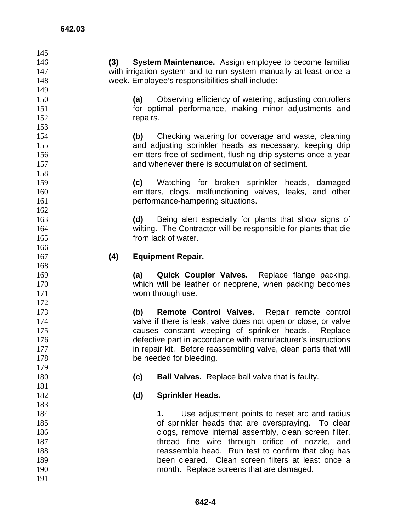| 145        |          |                                                                   |
|------------|----------|-------------------------------------------------------------------|
| 146        | (3)      | System Maintenance. Assign employee to become familiar            |
| 147        |          | with irrigation system and to run system manually at least once a |
| 148        |          | week. Employee's responsibilities shall include:                  |
| 149        |          |                                                                   |
| 150        | (a)      | Observing efficiency of watering, adjusting controllers           |
| 151        |          | for optimal performance, making minor adjustments and             |
| 152        | repairs. |                                                                   |
| 153        |          |                                                                   |
| 154        | (b)      | Checking watering for coverage and waste, cleaning                |
| 155        |          | and adjusting sprinkler heads as necessary, keeping drip          |
| 156        |          | emitters free of sediment, flushing drip systems once a year      |
| 157        |          | and whenever there is accumulation of sediment.                   |
| 158        |          |                                                                   |
| 159        | (c)      | Watching for broken sprinkler heads, damaged                      |
| 160        |          | emitters, clogs, malfunctioning valves, leaks, and other          |
| 161        |          | performance-hampering situations.                                 |
| 162        |          |                                                                   |
| 163        | (d)      | Being alert especially for plants that show signs of              |
| 164        |          | wilting. The Contractor will be responsible for plants that die   |
| 165        |          | from lack of water.                                               |
| 166        |          |                                                                   |
| 167        | (4)      | <b>Equipment Repair.</b>                                          |
| 168        |          |                                                                   |
| 169        | (a)      | Quick Coupler Valves. Replace flange packing,                     |
|            |          |                                                                   |
|            |          |                                                                   |
| 170        |          | which will be leather or neoprene, when packing becomes           |
| 171        |          | worn through use.                                                 |
| 172        |          |                                                                   |
| 173        | (b)      | Remote Control Valves. Repair remote control                      |
| 174        |          | valve if there is leak, valve does not open or close, or valve    |
| 175        |          | causes constant weeping of sprinkler heads.<br>Replace            |
| 176        |          | defective part in accordance with manufacturer's instructions     |
| 177        |          | in repair kit. Before reassembling valve, clean parts that will   |
| 178        |          | be needed for bleeding.                                           |
| 179        |          |                                                                   |
| 180        | (c)      | <b>Ball Valves.</b> Replace ball valve that is faulty.            |
| 181        |          |                                                                   |
| 182        | (d)      | <b>Sprinkler Heads.</b>                                           |
| 183        |          |                                                                   |
| 184        |          | Use adjustment points to reset arc and radius<br>1.               |
| 185        |          | of sprinkler heads that are overspraying. To clear                |
| 186        |          | clogs, remove internal assembly, clean screen filter,             |
| 187        |          | thread fine wire through orifice of nozzle, and                   |
| 188        |          | reassemble head. Run test to confirm that clog has                |
| 189        |          | been cleared. Clean screen filters at least once a                |
| 190<br>191 |          | month. Replace screens that are damaged.                          |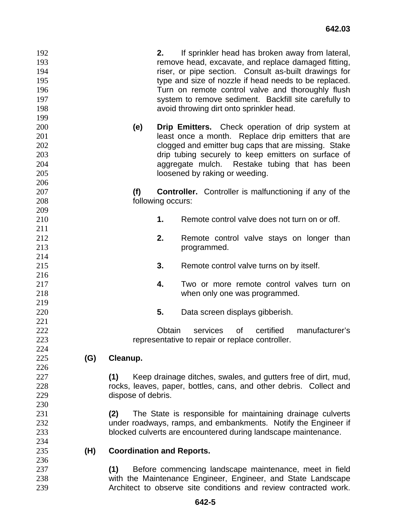| 192<br>193<br>194<br>195<br>196<br>197<br>198<br>199 |     |                                  | 2.                | If sprinkler head has broken away from lateral,<br>remove head, excavate, and replace damaged fitting,<br>riser, or pipe section. Consult as-built drawings for<br>type and size of nozzle if head needs to be replaced.<br>Turn on remote control valve and thoroughly flush<br>system to remove sediment. Backfill site carefully to<br>avoid throwing dirt onto sprinkler head. |  |
|------------------------------------------------------|-----|----------------------------------|-------------------|------------------------------------------------------------------------------------------------------------------------------------------------------------------------------------------------------------------------------------------------------------------------------------------------------------------------------------------------------------------------------------|--|
| 200<br>201<br>202<br>203<br>204<br>205               |     | (e)                              |                   | <b>Drip Emitters.</b> Check operation of drip system at<br>least once a month. Replace drip emitters that are<br>clogged and emitter bug caps that are missing. Stake<br>drip tubing securely to keep emitters on surface of<br>aggregate mulch. Restake tubing that has been<br>loosened by raking or weeding.                                                                    |  |
| 206                                                  |     |                                  |                   |                                                                                                                                                                                                                                                                                                                                                                                    |  |
| 207                                                  |     | (f)                              |                   | <b>Controller.</b> Controller is malfunctioning if any of the                                                                                                                                                                                                                                                                                                                      |  |
| 208                                                  |     |                                  | following occurs: |                                                                                                                                                                                                                                                                                                                                                                                    |  |
| 209                                                  |     |                                  |                   |                                                                                                                                                                                                                                                                                                                                                                                    |  |
| 210                                                  |     |                                  | 1.                | Remote control valve does not turn on or off.                                                                                                                                                                                                                                                                                                                                      |  |
| 211                                                  |     |                                  |                   |                                                                                                                                                                                                                                                                                                                                                                                    |  |
| 212                                                  |     |                                  | 2.                | Remote control valve stays on longer than                                                                                                                                                                                                                                                                                                                                          |  |
| 213                                                  |     |                                  |                   | programmed.                                                                                                                                                                                                                                                                                                                                                                        |  |
| 214                                                  |     |                                  |                   |                                                                                                                                                                                                                                                                                                                                                                                    |  |
| 215                                                  |     |                                  | 3.                | Remote control valve turns on by itself.                                                                                                                                                                                                                                                                                                                                           |  |
| 216                                                  |     |                                  |                   |                                                                                                                                                                                                                                                                                                                                                                                    |  |
| 217                                                  |     |                                  | 4.                | Two or more remote control valves turn on                                                                                                                                                                                                                                                                                                                                          |  |
| 218                                                  |     |                                  |                   | when only one was programmed.                                                                                                                                                                                                                                                                                                                                                      |  |
| 219                                                  |     |                                  |                   |                                                                                                                                                                                                                                                                                                                                                                                    |  |
| 220                                                  |     |                                  | 5.                | Data screen displays gibberish.                                                                                                                                                                                                                                                                                                                                                    |  |
| 221                                                  |     |                                  |                   |                                                                                                                                                                                                                                                                                                                                                                                    |  |
| 222                                                  |     |                                  | Obtain            | manufacturer's<br>services<br>certified<br>of                                                                                                                                                                                                                                                                                                                                      |  |
| 223                                                  |     |                                  |                   | representative to repair or replace controller.                                                                                                                                                                                                                                                                                                                                    |  |
| 224                                                  |     |                                  |                   |                                                                                                                                                                                                                                                                                                                                                                                    |  |
| 225                                                  | (G) | Cleanup.                         |                   |                                                                                                                                                                                                                                                                                                                                                                                    |  |
| 226                                                  |     |                                  |                   |                                                                                                                                                                                                                                                                                                                                                                                    |  |
| 227                                                  |     |                                  |                   |                                                                                                                                                                                                                                                                                                                                                                                    |  |
|                                                      |     | (1)                              |                   | Keep drainage ditches, swales, and gutters free of dirt, mud,                                                                                                                                                                                                                                                                                                                      |  |
| 228                                                  |     |                                  |                   | rocks, leaves, paper, bottles, cans, and other debris. Collect and                                                                                                                                                                                                                                                                                                                 |  |
| 229                                                  |     | dispose of debris.               |                   |                                                                                                                                                                                                                                                                                                                                                                                    |  |
| 230                                                  |     |                                  |                   |                                                                                                                                                                                                                                                                                                                                                                                    |  |
| 231                                                  |     | (2)                              |                   | The State is responsible for maintaining drainage culverts                                                                                                                                                                                                                                                                                                                         |  |
| 232                                                  |     |                                  |                   | under roadways, ramps, and embankments. Notify the Engineer if                                                                                                                                                                                                                                                                                                                     |  |
| 233                                                  |     |                                  |                   | blocked culverts are encountered during landscape maintenance.                                                                                                                                                                                                                                                                                                                     |  |
| 234                                                  |     |                                  |                   |                                                                                                                                                                                                                                                                                                                                                                                    |  |
| 235                                                  | (H) | <b>Coordination and Reports.</b> |                   |                                                                                                                                                                                                                                                                                                                                                                                    |  |
| 236                                                  |     |                                  |                   |                                                                                                                                                                                                                                                                                                                                                                                    |  |
| 237                                                  |     | (1)                              |                   | Before commencing landscape maintenance, meet in field                                                                                                                                                                                                                                                                                                                             |  |
| 238                                                  |     |                                  |                   | with the Maintenance Engineer, Engineer, and State Landscape                                                                                                                                                                                                                                                                                                                       |  |
| 239                                                  |     |                                  |                   | Architect to observe site conditions and review contracted work.                                                                                                                                                                                                                                                                                                                   |  |